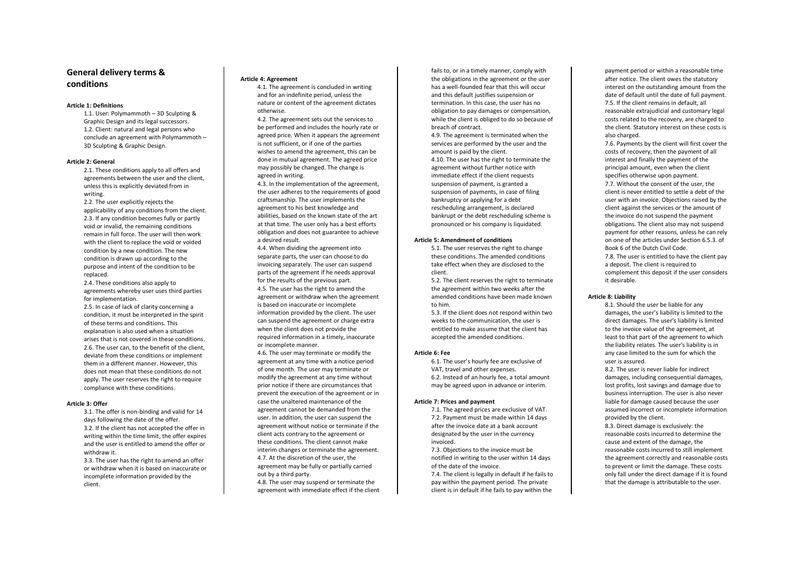# **General delivery terms & conditions**

## **Article 1: Definitions**

1.1. User: Polymammoth – 3D Sculpting & Graphic Design and its legal successors. 1.2. Client: natural and legal persons who conclude an agreement with Polymammoth – 3D Sculpting & Graphic Design.

### **Article 2: General**

2.1. These conditions apply to all offers and agreements between the user and the client, unless this is explicitly deviated from in writing.

2.2. The user explicitly rejects the applicability of any conditions from the client. 2.3. If any condition becomes fully or partly void or invalid, the remaining conditions remain in full force. The user will then work with the client to replace the void or voided condition by a new condition. The new condition is drawn up according to the purpose and intent of the condition to be replaced.

2.4. These conditions also apply to agreements whereby user uses third parties for implementation.

2.5. In case of lack of clarity concerning a condition, it must be interpreted in the spirit of these terms and conditions. This explanation is also used when a situation arises that is not covered in these conditions. 2.6. The user can, to the benefit of the client, deviate from these conditions or implement them in a different manner. However, this does not mean that these conditions do not apply. The user reserves the right to require compliance with these conditions.

#### **Article 3: Offer**

3.1. The offer is non-binding and valid for 14 days following the date of the offer. 3.2. If the client has not accepted the offer in writing within the time limit, the offer expires and the user is entitled to amend the offer or withdraw it.

3.3. The user has the right to amend an offer or withdraw when it is based on inaccurate or incomplete information provided by the client.

#### **Article 4: Agreement**

4.1. The agreement is concluded in writing and for an indefinite period, unless the nature or content of the agreement dictates otherwise.

4.2. The agreement sets out the services to be performed and includes the hourly rate or agreed price. When it appears the agreement is not sufficient, or if one of the parties wishes to amend the agreement, this can be done in mutual agreement. The agreed price may possibly be changed. The change is agreed in writing.

4.3. In the implementation of the agreement, the user adheres to the requirements of good craftsmanship. The user implements the agreement to his best knowledge and abilities, based on the known state of the art at that time. The user only has a best efforts obligation and does not guarantee to achieve a desired result.

4.4. When dividing the agreement into separate parts, the user can choose to do invoicing separately. The user can suspend parts of the agreement if he needs approval for the results of the previous part. 4.5. The user has the right to amend the agreement or withdraw when the agreement is based on inaccurate or incomplete information provided by the client. The user can suspend the agreement or charge extra when the client does not provide the required information in a timely, inaccurate or incomplete manner.

4.6. The user may terminate or modify the agreement at any time with a notice period of one month. The user may terminate or modify the agreement at any time without prior notice if there are circumstances that prevent the execution of the agreement or in case the unaltered maintenance of the agreement cannot be demanded from the user. In addition, the user can suspend the agreement without notice or terminate if the client acts contrary to the agreement or these conditions. The client cannot make interim changes or terminate the agreement. 4.7. At the discretion of the user, the agreement may be fully or partially carried out by a third party.

4.8. The user may suspend or terminate the agreement with immediate effect if the client fails to, or in a timely manner, comply with the obligations in the agreement or the user has a well-founded fear that this will occur and this default justifies suspension or termination. In this case, the user has no obligation to pay damages or compensation, while the client is obliged to do so because of breach of contract.

4.9. The agreement is terminated when the services are performed by the user and the amount is paid by the client.

4.10. The user has the right to terminate the agreement without further notice with immediate effect if the client requests suspension of payment, is granted a suspension of payments, in case of filing bankruptcy or applying for a debt rescheduling arrangement, is declared bankrupt or the debt rescheduling scheme is pronounced or his company is liquidated.

#### **Article 5: Amendment of conditions**

5.1. The user reserves the right to change these conditions. The amended conditions take effect when they are disclosed to the client.

5.2. The client reserves the right to terminate the agreement within two weeks after the amended conditions have been made known to him.

5.3. If the client does not respond within two weeks to the communication, the user is entitled to make assume that the client has accepted the amended conditions.

# **Article 6: Fee**

6.1. The user's hourly fee are exclusive of VAT, travel and other expenses. 6.2. Instead of an hourly fee, a total amount may be agreed upon in advance or interim.

#### **Article 7: Prices and payment**

7.1. The agreed prices are exclusive of VAT. 7.2. Payment must be made within 14 days after the invoice date at a bank account designated by the user in the currency invoiced.

7.3. Objections to the invoice must be notified in writing to the user within 14 days of the date of the invoice.

7.4. The client is legally in default if he fails to pay within the payment period. The private client is in default if he fails to pay within the

payment period or within a reasonable time after notice. The client owes the statutory interest on the outstanding amount from the date of default until the date of full payment. 7.5. If the client remains in default, all reasonable extrajudicial and customary legal costs related to the recovery, are charged to the client. Statutory interest on these costs is also charged.

7.6. Payments by the client will first cover the costs of recovery, then the payment of all interest and finally the payment of the principal amount, even when the client specifies otherwise upon payment. 7.7. Without the consent of the user, the client is never entitled to settle a debt of the user with an invoice. Objections raised by the client against the services or the amount of the invoice do not suspend the payment obligations. The client also may not suspend payment for other reasons, unless he can rely on one of the articles under Section 6.5.3. of Book 6 of the Dutch Civil Code. 7.8. The user is entitled to have the client pay a deposit. The client is required to complement this deposit if the user considers it desirable.

# **Article 8: Liability**

8.1. Should the user be liable for any damages, the user's liability is limited to the direct damages. The user's liability is limited to the invoice value of the agreement, at least to that part of the agreement to which the liability relates. The user's liability is in any case limited to the sum for which the user is assured.

8.2. The user is never liable for indirect damages, including consequential damages, lost profits, lost savings and damage due to business interruption. The user is also never liable for damage caused because the user assumed incorrect or incomplete information provided by the client.

8.3. Direct damage is exclusively: the reasonable costs incurred to determine the cause and extent of the damage, the reasonable costs incurred to still implement the agreement correctly and reasonable costs to prevent or limit the damage. These costs only fall under the direct damage if it is found that the damage is attributable to the user.